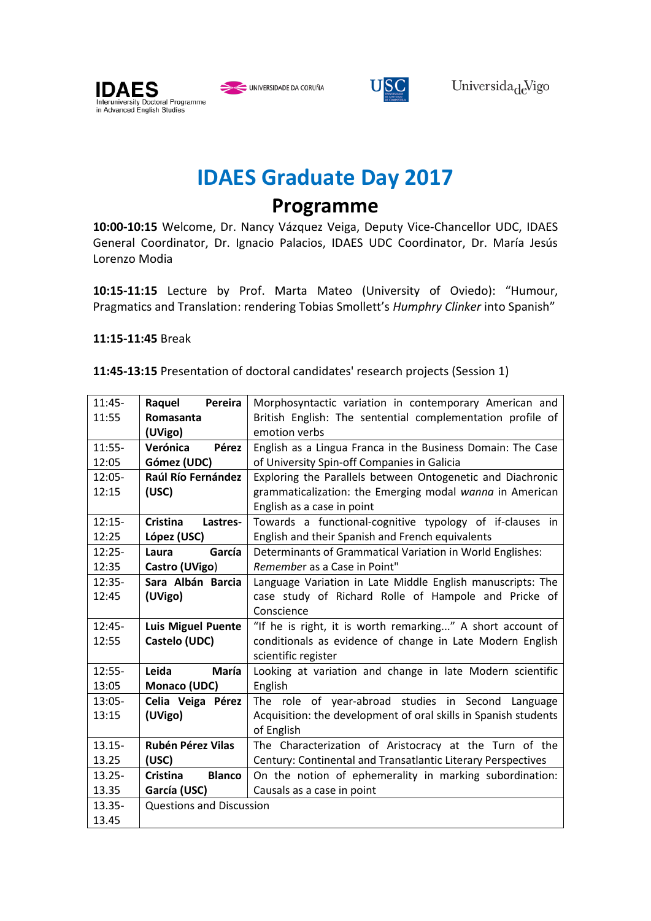

UNIVERSIDADE DA CORUÑA



## **IDAES Graduate Day 2017**

**Programme**

**10:00-10:15** Welcome, Dr. Nancy Vázquez Veiga, Deputy Vice-Chancellor UDC, IDAES General Coordinator, Dr. Ignacio Palacios, IDAES UDC Coordinator, Dr. María Jesús Lorenzo Modia

**10:15-11:15** Lecture by Prof. Marta Mateo (University of Oviedo): "Humour, Pragmatics and Translation: rendering Tobias Smollett's *Humphry Clinker* into Spanish"

## **11:15-11:45** Break

|  |  | 11:45-13:15 Presentation of doctoral candidates' research projects (Session 1) |  |
|--|--|--------------------------------------------------------------------------------|--|
|--|--|--------------------------------------------------------------------------------|--|

| $11:45-$  | Pereira<br>Raquel                                                          | Morphosyntactic variation in contemporary American and          |  |
|-----------|----------------------------------------------------------------------------|-----------------------------------------------------------------|--|
| 11:55     | Romasanta                                                                  | British English: The sentential complementation profile of      |  |
|           | (UVigo)                                                                    | emotion verbs                                                   |  |
| $11:55-$  | Verónica<br>Pérez                                                          | English as a Lingua Franca in the Business Domain: The Case     |  |
| 12:05     | Gómez (UDC)                                                                | of University Spin-off Companies in Galicia                     |  |
| $12:05 -$ | Raúl Río Fernández                                                         | Exploring the Parallels between Ontogenetic and Diachronic      |  |
| 12:15     | (USC)                                                                      | grammaticalization: the Emerging modal wanna in American        |  |
|           |                                                                            | English as a case in point                                      |  |
| $12:15-$  | Cristina<br>Lastres-                                                       | Towards a functional-cognitive typology of if-clauses in        |  |
| 12:25     | López (USC)                                                                | English and their Spanish and French equivalents                |  |
| $12:25-$  | García<br>Laura                                                            | Determinants of Grammatical Variation in World Englishes:       |  |
| 12:35     | Castro (UVigo)                                                             | Remember as a Case in Point"                                    |  |
| $12:35-$  | Sara Albán Barcia                                                          | Language Variation in Late Middle English manuscripts: The      |  |
| 12:45     | (UVigo)                                                                    | case study of Richard Rolle of Hampole and Pricke of            |  |
|           |                                                                            | Conscience                                                      |  |
| $12:45-$  | <b>Luis Miguel Puente</b>                                                  | "If he is right, it is worth remarking" A short account of      |  |
| 12:55     | Castelo (UDC)<br>conditionals as evidence of change in Late Modern English |                                                                 |  |
|           |                                                                            | scientific register                                             |  |
| $12:55-$  | Leida<br>María                                                             | Looking at variation and change in late Modern scientific       |  |
| 13:05     | Monaco (UDC)                                                               | English                                                         |  |
| 13:05-    | Celia Veiga Pérez                                                          | The role of year-abroad studies in Second<br>Language           |  |
| 13:15     | (UVigo)                                                                    | Acquisition: the development of oral skills in Spanish students |  |
|           |                                                                            | of English                                                      |  |
| $13.15 -$ | <b>Rubén Pérez Vilas</b>                                                   | The Characterization of Aristocracy at the Turn of the          |  |
| 13.25     | (USC)                                                                      | Century: Continental and Transatlantic Literary Perspectives    |  |
| $13.25 -$ | <b>Blanco</b><br>Cristina                                                  | On the notion of ephemerality in marking subordination:         |  |
| 13.35     | García (USC)                                                               | Causals as a case in point                                      |  |
| $13.35 -$ | <b>Questions and Discussion</b>                                            |                                                                 |  |
| 13.45     |                                                                            |                                                                 |  |